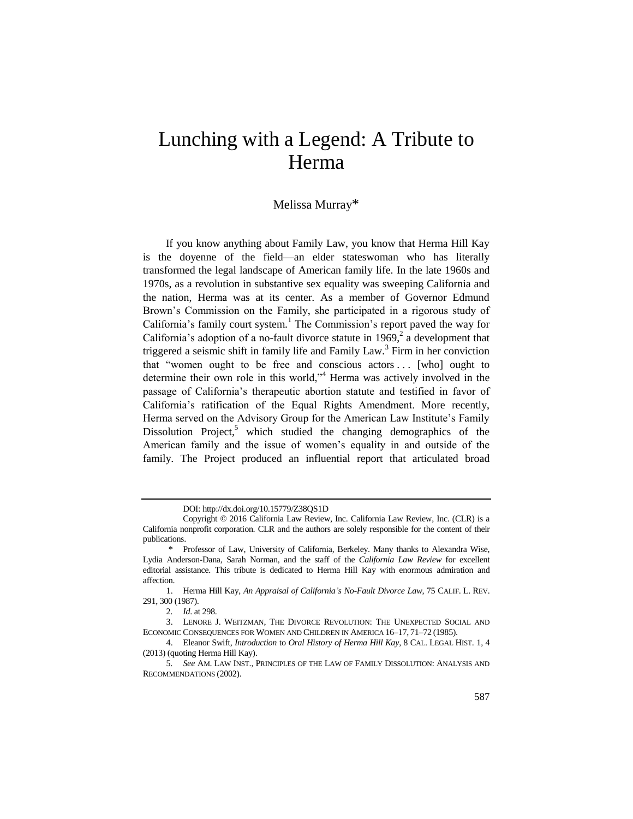## Lunching with a Legend: A Tribute to Herma

## Melissa Murray\*

If you know anything about Family Law, you know that Herma Hill Kay is the doyenne of the field—an elder stateswoman who has literally transformed the legal landscape of American family life. In the late 1960s and 1970s, as a revolution in substantive sex equality was sweeping California and the nation, Herma was at its center. As a member of Governor Edmund Brown's Commission on the Family, she participated in a rigorous study of California's family court system.<sup>1</sup> The Commission's report paved the way for California's adoption of a no-fault divorce statute in 1969, $^2$  a development that triggered a seismic shift in family life and Family Law.<sup>3</sup> Firm in her conviction that "women ought to be free and conscious actors ... [who] ought to determine their own role in this world,"<sup>4</sup> Herma was actively involved in the passage of California's therapeutic abortion statute and testified in favor of California's ratification of the Equal Rights Amendment. More recently, Herma served on the Advisory Group for the American Law Institute's Family Dissolution Project,<sup>5</sup> which studied the changing demographics of the American family and the issue of women's equality in and outside of the family. The Project produced an influential report that articulated broad

DOI: http://dx.doi.org/10.15779/Z38QS1D

Copyright © 2016 California Law Review, Inc. California Law Review, Inc. (CLR) is a California nonprofit corporation. CLR and the authors are solely responsible for the content of their publications.

<sup>\*</sup> Professor of Law, University of California, Berkeley. Many thanks to Alexandra Wise, Lydia Anderson-Dana, Sarah Norman, and the staff of the *California Law Review* for excellent editorial assistance. This tribute is dedicated to Herma Hill Kay with enormous admiration and affection.

<sup>1.</sup> Herma Hill Kay, *An Appraisal of California's No-Fault Divorce Law*, 75 CALIF. L. REV. 291, 300 (1987).

<sup>2</sup>*. Id*. at 298.

<sup>3.</sup> LENORE J. WEITZMAN, THE DIVORCE REVOLUTION: THE UNEXPECTED SOCIAL AND ECONOMIC CONSEQUENCES FOR WOMEN AND CHILDREN IN AMERICA 16–17, 71–72 (1985).

<sup>4.</sup> Eleanor Swift, *Introduction* to *Oral History of Herma Hill Kay*, 8 CAL. LEGAL HIST. 1, 4 (2013) (quoting Herma Hill Kay).

<sup>5</sup>*. See* AM. LAW INST., PRINCIPLES OF THE LAW OF FAMILY DISSOLUTION: ANALYSIS AND RECOMMENDATIONS (2002).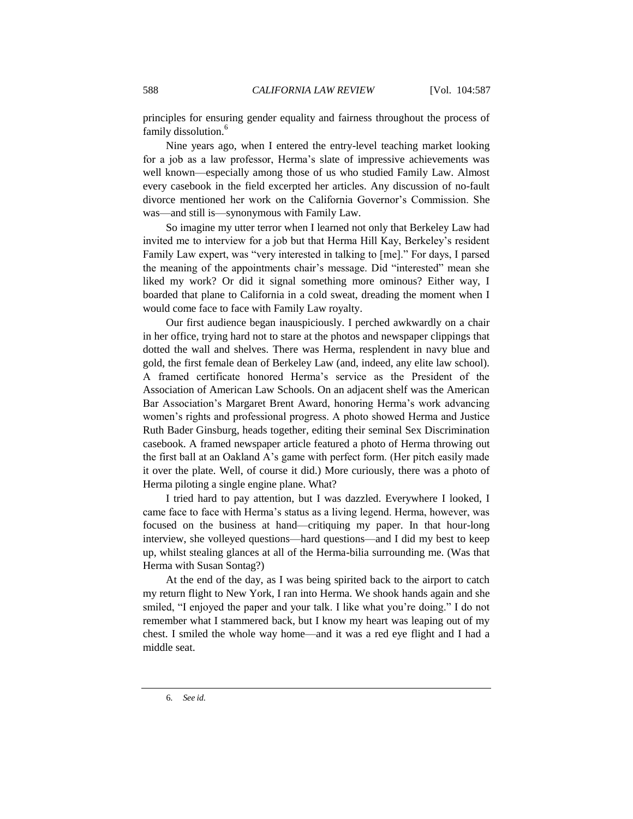principles for ensuring gender equality and fairness throughout the process of family dissolution.<sup>6</sup>

Nine years ago, when I entered the entry-level teaching market looking for a job as a law professor, Herma's slate of impressive achievements was well known—especially among those of us who studied Family Law. Almost every casebook in the field excerpted her articles. Any discussion of no-fault divorce mentioned her work on the California Governor's Commission. She was—and still is—synonymous with Family Law.

So imagine my utter terror when I learned not only that Berkeley Law had invited me to interview for a job but that Herma Hill Kay, Berkeley's resident Family Law expert, was "very interested in talking to [me]." For days, I parsed the meaning of the appointments chair's message. Did "interested" mean she liked my work? Or did it signal something more ominous? Either way, I boarded that plane to California in a cold sweat, dreading the moment when I would come face to face with Family Law royalty.

Our first audience began inauspiciously. I perched awkwardly on a chair in her office, trying hard not to stare at the photos and newspaper clippings that dotted the wall and shelves. There was Herma, resplendent in navy blue and gold, the first female dean of Berkeley Law (and, indeed, any elite law school). A framed certificate honored Herma's service as the President of the Association of American Law Schools. On an adjacent shelf was the American Bar Association's Margaret Brent Award, honoring Herma's work advancing women's rights and professional progress. A photo showed Herma and Justice Ruth Bader Ginsburg, heads together, editing their seminal Sex Discrimination casebook. A framed newspaper article featured a photo of Herma throwing out the first ball at an Oakland A's game with perfect form. (Her pitch easily made it over the plate. Well, of course it did.) More curiously, there was a photo of Herma piloting a single engine plane. What?

I tried hard to pay attention, but I was dazzled. Everywhere I looked, I came face to face with Herma's status as a living legend. Herma, however, was focused on the business at hand—critiquing my paper. In that hour-long interview, she volleyed questions—hard questions—and I did my best to keep up, whilst stealing glances at all of the Herma-bilia surrounding me. (Was that Herma with Susan Sontag?)

At the end of the day, as I was being spirited back to the airport to catch my return flight to New York, I ran into Herma. We shook hands again and she smiled, "I enjoyed the paper and your talk. I like what you're doing." I do not remember what I stammered back, but I know my heart was leaping out of my chest. I smiled the whole way home—and it was a red eye flight and I had a middle seat.

6*. See id*.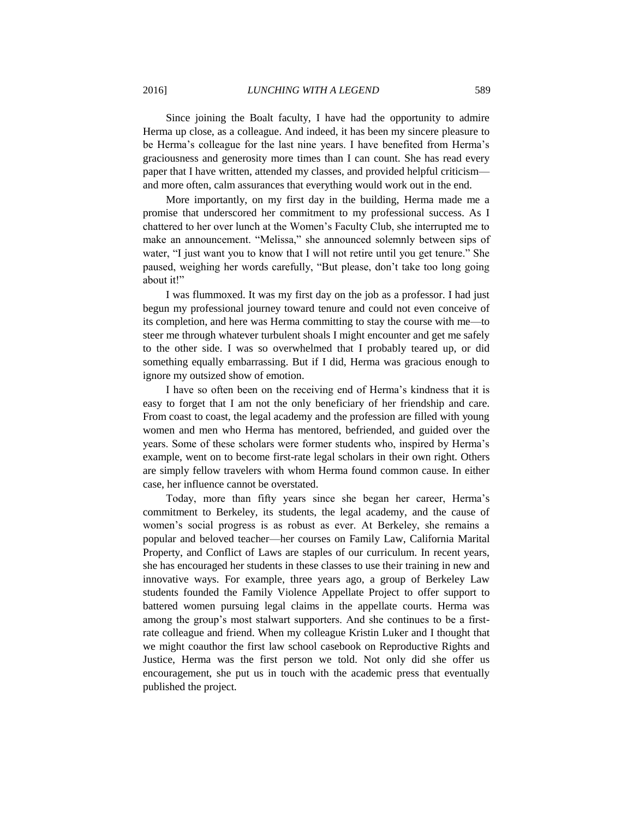Since joining the Boalt faculty, I have had the opportunity to admire Herma up close, as a colleague. And indeed, it has been my sincere pleasure to be Herma's colleague for the last nine years. I have benefited from Herma's graciousness and generosity more times than I can count. She has read every paper that I have written, attended my classes, and provided helpful criticism and more often, calm assurances that everything would work out in the end.

More importantly, on my first day in the building, Herma made me a promise that underscored her commitment to my professional success. As I chattered to her over lunch at the Women's Faculty Club, she interrupted me to make an announcement. "Melissa," she announced solemnly between sips of water, "I just want you to know that I will not retire until you get tenure." She paused, weighing her words carefully, "But please, don't take too long going about it!"

I was flummoxed. It was my first day on the job as a professor. I had just begun my professional journey toward tenure and could not even conceive of its completion, and here was Herma committing to stay the course with me—to steer me through whatever turbulent shoals I might encounter and get me safely to the other side. I was so overwhelmed that I probably teared up, or did something equally embarrassing. But if I did, Herma was gracious enough to ignore my outsized show of emotion.

I have so often been on the receiving end of Herma's kindness that it is easy to forget that I am not the only beneficiary of her friendship and care. From coast to coast, the legal academy and the profession are filled with young women and men who Herma has mentored, befriended, and guided over the years. Some of these scholars were former students who, inspired by Herma's example, went on to become first-rate legal scholars in their own right. Others are simply fellow travelers with whom Herma found common cause. In either case, her influence cannot be overstated.

Today, more than fifty years since she began her career, Herma's commitment to Berkeley, its students, the legal academy, and the cause of women's social progress is as robust as ever. At Berkeley, she remains a popular and beloved teacher—her courses on Family Law, California Marital Property, and Conflict of Laws are staples of our curriculum. In recent years, she has encouraged her students in these classes to use their training in new and innovative ways. For example, three years ago, a group of Berkeley Law students founded the Family Violence Appellate Project to offer support to battered women pursuing legal claims in the appellate courts. Herma was among the group's most stalwart supporters. And she continues to be a firstrate colleague and friend. When my colleague Kristin Luker and I thought that we might coauthor the first law school casebook on Reproductive Rights and Justice, Herma was the first person we told. Not only did she offer us encouragement, she put us in touch with the academic press that eventually published the project.